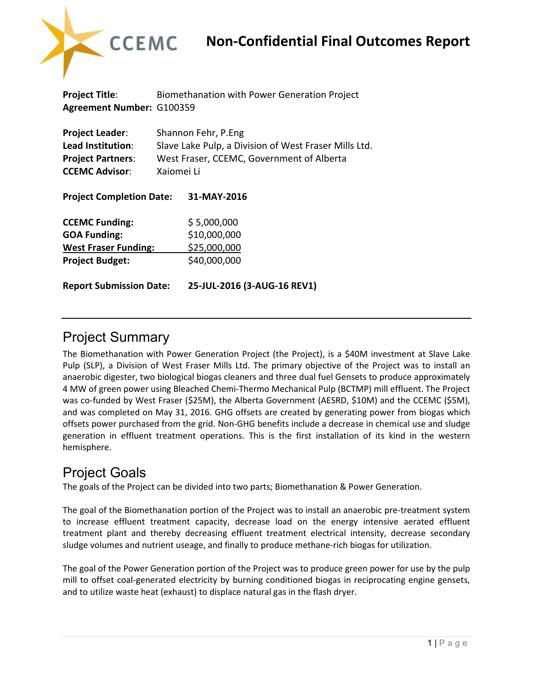# **Non-Confidential Final Outcomes Report**



| <b>Project Title:</b>                                                                            | Biomethanation with Power Generation Project                                                                                            |                             |
|--------------------------------------------------------------------------------------------------|-----------------------------------------------------------------------------------------------------------------------------------------|-----------------------------|
| <b>Agreement Number: G100359</b>                                                                 |                                                                                                                                         |                             |
| <b>Project Leader:</b><br>Lead Institution:<br><b>Project Partners:</b><br><b>CCEMC Advisor:</b> | Shannon Fehr, P.Eng<br>Slave Lake Pulp, a Division of West Fraser Mills Ltd.<br>West Fraser, CCEMC, Government of Alberta<br>Xajomej Li |                             |
| <b>Project Completion Date:</b>                                                                  |                                                                                                                                         | 31-MAY-2016                 |
| <b>CCEMC Funding:</b>                                                                            |                                                                                                                                         | \$5,000,000                 |
| <b>GOA Funding:</b>                                                                              |                                                                                                                                         | \$10,000,000                |
| <b>West Fraser Funding:</b>                                                                      |                                                                                                                                         | \$25,000,000                |
| <b>Project Budget:</b>                                                                           |                                                                                                                                         | \$40,000,000                |
| <b>Report Submission Date:</b>                                                                   |                                                                                                                                         | 25-JUL-2016 (3-AUG-16 REV1) |

# Project Summary

The Biomethanation with Power Generation Project (the Project), is a \$40M investment at Slave Lake Pulp (SLP), a Division of West Fraser Mills Ltd. The primary objective of the Project was to install an anaerobic digester, two biological biogas cleaners and three dual fuel Gensets to produce approximately 4 MW of green power using Bleached Chemi-Thermo Mechanical Pulp (BCTMP) mill effluent. The Project was co-funded by West Fraser (\$25M), the Alberta Government (AESRD, \$10M) and the CCEMC (\$5M), and was completed on May 31, 2016. GHG offsets are created by generating power from biogas which offsets power purchased from the grid. Non-GHG benefits include a decrease in chemical use and sludge generation in effluent treatment operations. This is the first installation of its kind in the western hemisphere.

# Project Goals

The goals of the Project can be divided into two parts; Biomethanation & Power Generation.

The goal of the Biomethanation portion of the Project was to install an anaerobic pre-treatment system to increase effluent treatment capacity, decrease load on the energy intensive aerated effluent treatment plant and thereby decreasing effluent treatment electrical intensity, decrease secondary sludge volumes and nutrient useage, and finally to produce methane-rich biogas for utilization.

The goal of the Power Generation portion of the Project was to produce green power for use by the pulp mill to offset coal-generated electricity by burning conditioned biogas in reciprocating engine gensets, and to utilize waste heat (exhaust) to displace natural gas in the flash dryer.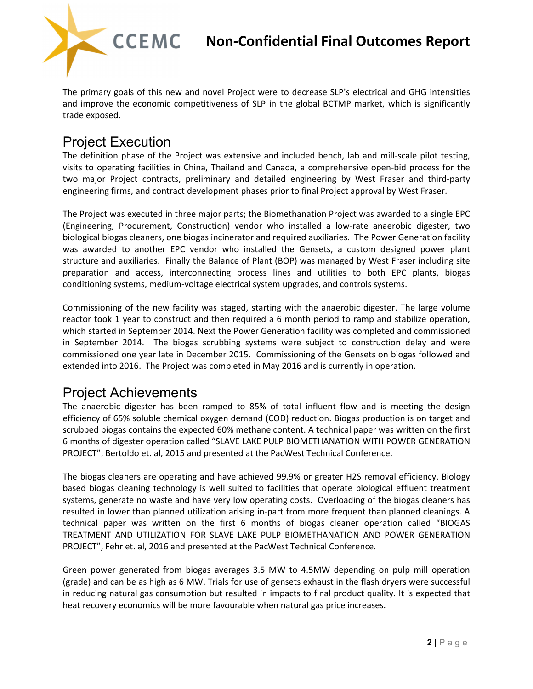# **CCEMC** Non-Confidential Final Outcomes Report

The primary goals of this new and novel Project were to decrease SLP's electrical and GHG intensities and improve the economic competitiveness of SLP in the global BCTMP market, which is significantly trade exposed.

#### Project Execution

The definition phase of the Project was extensive and included bench, lab and mill-scale pilot testing, visits to operating facilities in China, Thailand and Canada, a comprehensive open-bid process for the two major Project contracts, preliminary and detailed engineering by West Fraser and third-party engineering firms, and contract development phases prior to final Project approval by West Fraser.

The Project was executed in three major parts; the Biomethanation Project was awarded to a single EPC (Engineering, Procurement, Construction) vendor who installed a low-rate anaerobic digester, two biological biogas cleaners, one biogas incinerator and required auxiliaries. The Power Generation facility was awarded to another EPC vendor who installed the Gensets, a custom designed power plant structure and auxiliaries. Finally the Balance of Plant (BOP) was managed by West Fraser including site preparation and access, interconnecting process lines and utilities to both EPC plants, biogas conditioning systems, medium-voltage electrical system upgrades, and controls systems.

Commissioning of the new facility was staged, starting with the anaerobic digester. The large volume reactor took 1 year to construct and then required a 6 month period to ramp and stabilize operation, which started in September 2014. Next the Power Generation facility was completed and commissioned in September 2014. The biogas scrubbing systems were subject to construction delay and were commissioned one year late in December 2015. Commissioning of the Gensets on biogas followed and extended into 2016. The Project was completed in May 2016 and is currently in operation.

### Project Achievements

The anaerobic digester has been ramped to 85% of total influent flow and is meeting the design efficiency of 65% soluble chemical oxygen demand (COD) reduction. Biogas production is on target and scrubbed biogas contains the expected 60% methane content. A technical paper was written on the first 6 months of digester operation called "SLAVE LAKE PULP BIOMETHANATION WITH POWER GENERATION PROJECT", Bertoldo et. al, 2015 and presented at the PacWest Technical Conference.

The biogas cleaners are operating and have achieved 99.9% or greater H2S removal efficiency. Biology based biogas cleaning technology is well suited to facilities that operate biological effluent treatment systems, generate no waste and have very low operating costs. Overloading of the biogas cleaners has resulted in lower than planned utilization arising in-part from more frequent than planned cleanings. A technical paper was written on the first 6 months of biogas cleaner operation called "BIOGAS TREATMENT AND UTILIZATION FOR SLAVE LAKE PULP BIOMETHANATION AND POWER GENERATION PROJECT", Fehr et. al, 2016 and presented at the PacWest Technical Conference.

Green power generated from biogas averages 3.5 MW to 4.5MW depending on pulp mill operation (grade) and can be as high as 6 MW. Trials for use of gensets exhaust in the flash dryers were successful in reducing natural gas consumption but resulted in impacts to final product quality. It is expected that heat recovery economics will be more favourable when natural gas price increases.